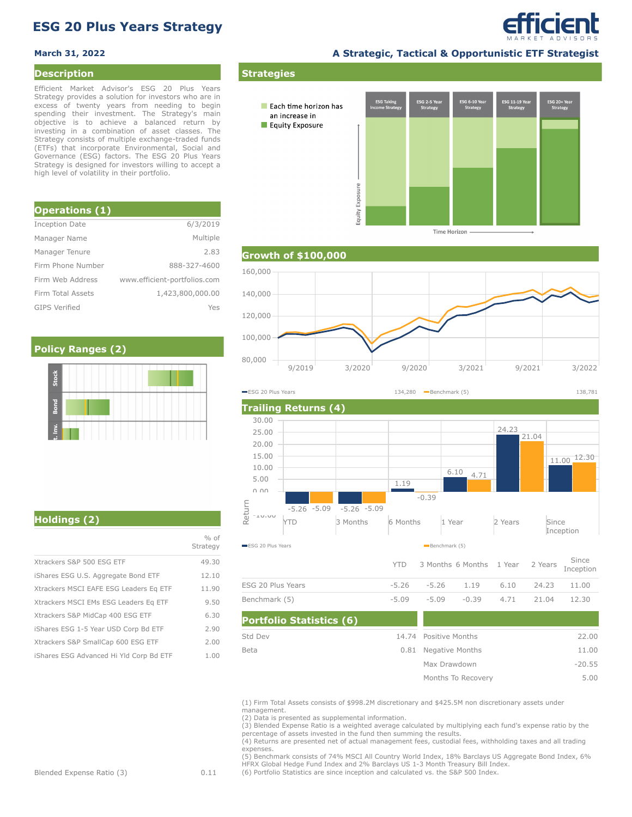# **ESG 20 Plus Years Strategy**

### **Description**

Efficient Market Advisor's ESG 20 Plus Years Strategy provides a solution for investors who are in excess of twenty years from needing to begin spending their investment. The Strategy's main objective is to achieve a balanced return by investing in a combination of asset classes. The Strategy consists of multiple exchange-traded funds (ETFs) that incorporate Environmental, Social and Governance (ESG) factors. The ESG 20 Plus Years Strategy is designed for investors willing to accept a high level of volatility in their portfolio.

| <b>Operations (1)</b> |                              |
|-----------------------|------------------------------|
| Inception Date        | 6/3/2019                     |
| Manager Name          | Multiple                     |
| Manager Tenure        | 2.83                         |
| Firm Phone Number     | 888-327-4600                 |
| Firm Web Address      | www.efficient-portfolios.com |
| Firm Total Assets     | 1,423,800,000.00             |
| <b>GIPS Verified</b>  | Yes                          |

## **Policy Ranges (2)**



efficient

**Strategies** י 5G 11-19! G 6-10 ESG 20+ Yea<br>Strategy Each time horizon has an increase in Equity Exposure Equity Exposure

**Time Horizon** 







|                                         | $%$ of<br>Strategy |
|-----------------------------------------|--------------------|
| Xtrackers S&P 500 ESG ETF               | 49.30              |
| iShares ESG U.S. Aggregate Bond ETF     | 12.10              |
| Xtrackers MSCI EAFE ESG Leaders Eq ETF  | 11.90              |
| Xtrackers MSCI EMs ESG Leaders Eq ETF   | 9.50               |
| Xtrackers S&P MidCap 400 ESG ETF        | 6.30               |
| iShares ESG 1-5 Year USD Corp Bd ETF    | 2.90               |
| Xtrackers S&P SmallCap 600 ESG ETF      | 2.00               |
| iShares ESG Advanced Hi Yld Corp Bd ETF | 1.00               |
|                                         |                    |

| <b>Portfolio Statistics (6)</b> |                       |          |
|---------------------------------|-----------------------|----------|
| Std Dev                         | 14.74 Positive Months | 22.00    |
| Beta                            | 0.81 Negative Months  | 11.00    |
|                                 | Max Drawdown          | $-20.55$ |
|                                 | Months To Recovery    | 5.00     |

(1) Firm Total Assets consists of \$998.2M discretionary and \$425.5M non discretionary assets under management.

(2) Data is presented as supplemental information.

(3) Blended Expense Ratio is a weighted average calculated by multiplying each fund's expense ratio by the percentage of assets invested in the fund then summing the results.

(4) Returns are presented net of actual management fees, custodial fees, withholding taxes and all trading expenses.

(5) Benchmark consists of 74% MSCI All Country World Index, 18% Barclays US Aggregate Bond Index, 6% HFRX Global Hedge Fund Index and 2% Barclays US 1-3 Month Treasury Bill Index.

(6) Portfolio Statistics are since inception and calculated vs. the S&P 500 Index.